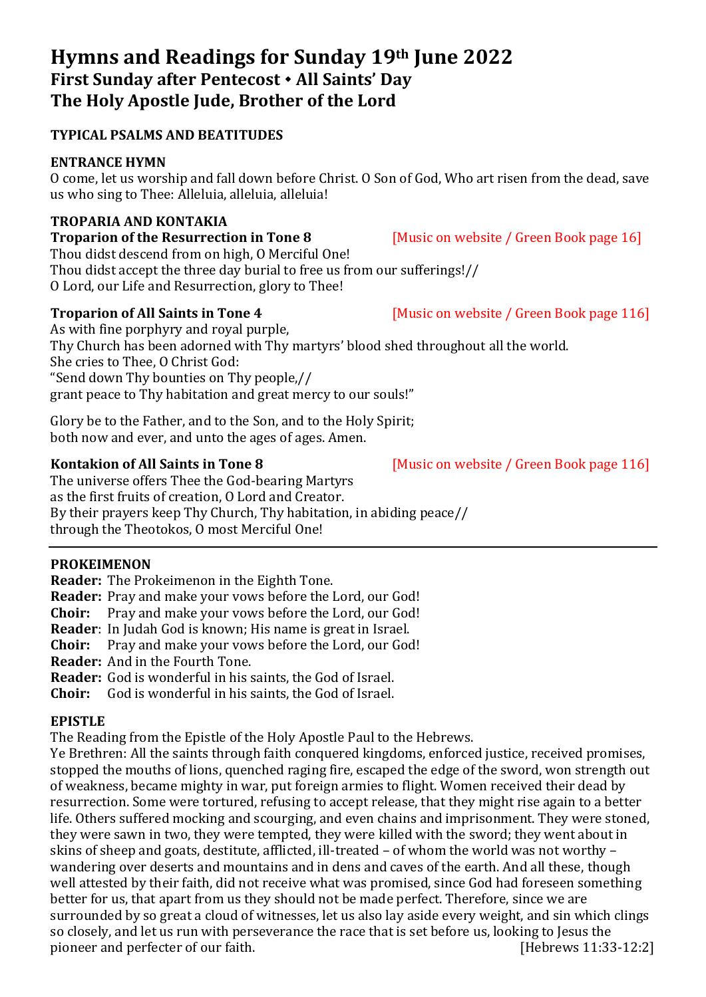# **Hymns and Readings for Sunday 19th June 2022 First Sunday after Pentecost All Saints' Day The Holy Apostle Jude, Brother of the Lord**

## **TYPICAL PSALMS AND BEATITUDES**

## **ENTRANCE HYMN**

O come, let us worship and fall down before Christ. O Son of God, Who art risen from the dead, save us who sing to Thee: Alleluia, alleluia, alleluia!

### **TROPARIA AND KONTAKIA**

**Troparion of the Resurrection in Tone 8** [Music on website / Green Book page 16] Thou didst descend from on high, O Merciful One! Thou didst accept the three day burial to free us from our sufferings!// O Lord, our Life and Resurrection, glory to Thee!

#### **Troparion of All Saints in Tone 4** [Music on website / Green Book page 116]

As with fine porphyry and royal purple, Thy Church has been adorned with Thy martyrs' blood shed throughout all the world. She cries to Thee, O Christ God: "Send down Thy bounties on Thy people,// grant peace to Thy habitation and great mercy to our souls!"

Glory be to the Father, and to the Son, and to the Holy Spirit; both now and ever, and unto the ages of ages. Amen.

The universe offers Thee the God-bearing Martyrs as the first fruits of creation, O Lord and Creator. By their prayers keep Thy Church, Thy habitation, in abiding peace// through the Theotokos, O most Merciful One!

## **PROKEIMENON**

**Reader:** The Prokeimenon in the Eighth Tone.

**Reader:** Pray and make your vows before the Lord, our God!

**Choir:** Pray and make your vows before the Lord, our God!

**Reader**: In Judah God is known; His name is great in Israel.

**Choir:** Pray and make your yows before the Lord, our God!

**Reader:** And in the Fourth Tone.

**Reader:** God is wonderful in his saints, the God of Israel.

**Choir:** God is wonderful in his saints, the God of Israel.

## **EPISTLE**

The Reading from the Epistle of the Holy Apostle Paul to the Hebrews.

Ye Brethren: All the saints through faith conquered kingdoms, enforced justice, received promises, stopped the mouths of lions, quenched raging fire, escaped the edge of the sword, won strength out of weakness, became mighty in war, put foreign armies to flight. Women received their dead by resurrection. Some were tortured, refusing to accept release, that they might rise again to a better life. Others suffered mocking and scourging, and even chains and imprisonment. They were stoned, they were sawn in two, they were tempted, they were killed with the sword; they went about in skins of sheep and goats, destitute, afflicted, ill-treated – of whom the world was not worthy – wandering over deserts and mountains and in dens and caves of the earth. And all these, though well attested by their faith, did not receive what was promised, since God had foreseen something better for us, that apart from us they should not be made perfect. Therefore, since we are surrounded by so great a cloud of witnesses, let us also lay aside every weight, and sin which clings so closely, and let us run with perseverance the race that is set before us, looking to Jesus the pioneer and perfecter of our faith. [Hebrews 11:33-12:2]

**Kontakion of All Saints in Tone 8** [Music on website / Green Book page 116]